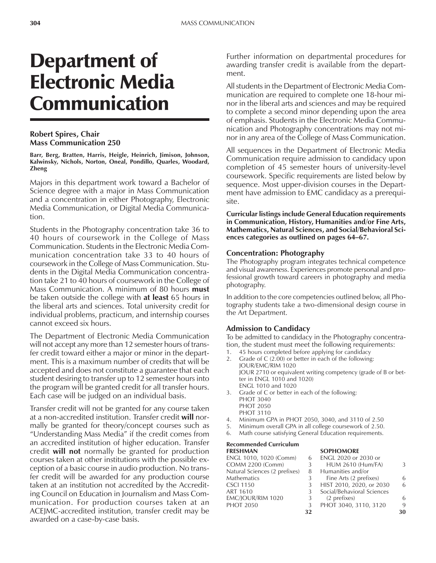# Department of Electronic Media Communication

#### **Robert Spires, Chair Mass Communication 250**

**Barr, Berg, Bratten, Harris, Heigle, Heinrich, Jimison, Johnson, Kalwinsky, Nichols, Norton, Oneal, Pondillo, Quarles, Woodard, Zheng**

Majors in this department work toward a Bachelor of Science degree with a major in Mass Communication and a concentration in either Photography, Electronic Media Communication, or Digital Media Communication.

Students in the Photography concentration take 36 to 40 hours of coursework in the College of Mass Communication. Students in the Electronic Media Communication concentration take 33 to 40 hours of coursework in the College of Mass Communication. Students in the Digital Media Communication concentration take 21 to 40 hours of coursework in the College of Mass Communication. A minimum of 80 hours **must** be taken outside the college with **at least** 65 hours in the liberal arts and sciences. Total university credit for individual problems, practicum, and internship courses cannot exceed six hours.

The Department of Electronic Media Communication will not accept any more than 12 semester hours of transfer credit toward either a major or minor in the department. This is a maximum number of credits that will be accepted and does not constitute a guarantee that each student desiring to transfer up to 12 semester hours into the program will be granted credit for all transfer hours. Each case will be judged on an individual basis.

Transfer credit will not be granted for any course taken at a non-accredited institution. Transfer credit **will** normally be granted for theory/concept courses such as ìUnderstanding Mass Mediaî if the credit comes from an accredited institution of higher education. Transfer credit **will not** normally be granted for production courses taken at other institutions with the possible exception of a basic course in audio production. No transfer credit will be awarded for any production course taken at an institution not accredited by the Accrediting Council on Education in Journalism and Mass Communication. For production courses taken at an ACEJMC-accredited institution, transfer credit may be awarded on a case-by-case basis.

Further information on departmental procedures for awarding transfer credit is available from the department.

All students in the Department of Electronic Media Communication are required to complete one 18-hour minor in the liberal arts and sciences and may be required to complete a second minor depending upon the area of emphasis. Students in the Electronic Media Communication and Photography concentrations may not minor in any area of the College of Mass Communication.

All sequences in the Department of Electronic Media Communication require admission to candidacy upon completion of 45 semester hours of university-level coursework. Specific requirements are listed below by sequence. Most upper-division courses in the Department have admission to EMC candidacy as a prerequisite.

**Curricular listings include General Education requirements in Communication, History, Humanities and/or Fine Arts, Mathematics, Natural Sciences, and Social/Behavioral Sci**ences categories as outlined on pages 64–67.

#### **Concentration: Photography**

The Photography program integrates technical competence and visual awareness. Experiences promote personal and professional growth toward careers in photography and media photography.

In addition to the core competencies outlined below, all Photography students take a two-dimensional design course in the Art Department.

#### **Admission to Candidacy**

To be admitted to candidacy in the Photography concentration, the student must meet the following requirements:

- 45 hours completed before applying for candidacy
- 2. Grade of C (2.00) or better in each of the following: JOUR/EMC/RIM 1020 JOUR 2710 or equivalent writing competency (grade of B or better in ENGL 1010 and 1020) ENGL 1010 and 1020
- 3. Grade of C or better in each of the following: PHOT 3040 PHOT 2050
	- PHOT 3110
- 4. Minimum GPA in PHOT 2050, 3040, and 3110 of 2.50
- 5. Minimum overall GPA in all college coursework of 2.50.
- 6. Math course satisfying General Education requirements.

#### **Recommended Curriculum FRESHMAN SOPHOMORE**

| .                             |    | <u>JUITIURIUINE</u>        |    |
|-------------------------------|----|----------------------------|----|
| ENGL 1010, 1020 (Comm)        | 6  | ENGL 2020 or 2030 or       |    |
| <b>COMM 2200 (Comm)</b>       | 3  | <b>HUM 2610 (Hum/FA)</b>   | 3  |
| Natural Sciences (2 prefixes) | 8  | Humanities and/or          |    |
| Mathematics                   | 3  | Fine Arts (2 prefixes)     | 6  |
| CSCI 1150                     | 3  | HIST 2010, 2020, or 2030   | 6  |
| ART 1610                      | 3  | Social/Behavioral Sciences |    |
| EMC/JOUR/RIM 1020             | 3  | (2 prefixes)               | 6  |
| <b>PHOT 2050</b>              | 3  | PHOT 3040, 3110, 3120      | 9  |
|                               | 32 |                            | 30 |
|                               |    |                            |    |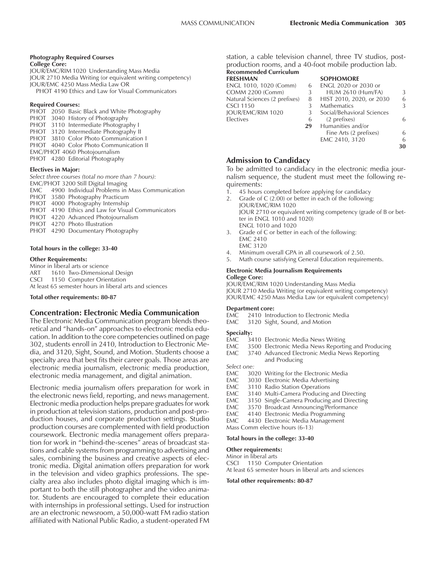#### **Photography Required Courses**

**College Core:** JOUR/EMC/RIM 1020 Understanding Mass Media JOUR 2710 Media Writing (or equivalent writing competency) JOUR/EMC 4250 Mass Media Law OR PHOT 4190 Ethics and Law for Visual Communicators

#### **Required Courses:**

PHOT 2050 Basic Black and White Photography PHOT 3040 History of Photography PHOT 3110 Intermediate Photography I PHOT 3120 Intermediate Photography II PHOT 3810 Color Photo Communication I PHOT 4040 Color Photo Communication II EMC/PHOT 4060 Photojournalism PHOT 4280 Editorial Photography

#### **Electives in Major:**

*Select three courses (total no more than 7 hours):* EMC/PHOT 3200 Still Digital Imaging EMC 4900 Individual Problems in Mass Communication PHOT 3580 Photography Practicum PHOT 4000 Photography Internship PHOT 4190 Ethics and Law for Visual Communicators PHOT 4220 Advanced Photojournalism PHOT 4270 Photo Illustration PHOT 4290 Documentary Photography

#### **Total hours in the college: 33-40**

#### **Other Requirements:**

Minor in liberal arts or science ART 1610 Two-Dimensional Design CSCI 1150 Computer Orientation At least 65 semester hours in liberal arts and sciences

#### **Total other requirements: 80-87**

#### **Concentration: Electronic Media Communication**

The Electronic Media Communication program blends theoretical and "hands-on" approaches to electronic media education. In addition to the core competencies outlined on page 302, students enroll in 2410, Introduction to Electronic Media, and 3120, Sight, Sound, and Motion. Students choose a specialty area that best fits their career goals. Those areas are electronic media journalism, electronic media production, electronic media management, and digital animation.

Electronic media journalism offers preparation for work in the electronic news field, reporting, and news management. Electronic media production helps prepare graduates for work in production at television stations, production and post-production houses, and corporate production settings. Studio production courses are complemented with field production coursework. Electronic media management offers preparation for work in "behind-the-scenes" areas of broadcast stations and cable systems from programming to advertising and sales, combining the business and creative aspects of electronic media. Digital animation offers preparation for work in the television and video graphics professions. The specialty area also includes photo digital imaging which is important to both the still photographer and the video animator. Students are encouraged to complete their education with internships in professional settings. Used for instruction are an electronic newsroom, a 50,000-watt FM radio station affiliated with National Public Radio, a student-operated FM station, a cable television channel, three TV studios, postproduction rooms, and a 40-foot mobile production lab.

# **Recommended Curriculum**

**FRESHMAN <b>SOPHOMORE**<br>ENGL 1010, 1020 (Comm) 6 ENGL 2020 or ENGL 1010, 1020 (Comm) COMM 2200 (Comm) 3 Natural Sciences (2 prefixes) 8<br>CSCI 1150 3 CSCI 1150 3<br>JOUR/EMC/RIM 1020 3 JOUR/EMC/RIM 1020 Electives 6<br>29

| $\mathbf{1}$                |   |
|-----------------------------|---|
| <b>ENGL 2020 or 2030 or</b> |   |
| <b>HUM 2610 (Hum/FA)</b>    | 3 |
| HIST 2010, 2020, or 2030    |   |
| <b>Mathematics</b>          | 3 |
| Social/Behavioral Sciences  |   |
| (2 prefixes)                |   |
| Humanities and/or           |   |
| Fine Arts (2 prefixes)      |   |
| EMC 2410, 3120              | 6 |
|                             |   |
|                             |   |

# **Admission to Candidacy**

To be admitted to candidacy in the electronic media journalism sequence, the student must meet the following requirements:

- 1. 45 hours completed before applying for candidacy
- 2. Grade of C (2.00) or better in each of the following: JOUR/EMC/RIM 1020 JOUR 2710 or equivalent writing competency (grade of B or better in ENGL 1010 and 1020) ENGL 1010 and 1020
- 3. Grade of C or better in each of the following: EMC 2410
	- EMC 3120
- Minimum overall GPA in all coursework of 2.50.
- 5. Math course satisfying General Education requirements.

#### **Electronic Media Journalism Requirements College Core:**

JOUR/EMC/RIM 1020 Understanding Mass Media JOUR 2710 Media Writing (or equivalent writing competency) JOUR/EMC 4250 Mass Media Law (or equivalent competency)

#### **Department core:**

- EMC 2410 Introduction to Electronic Media
- EMC 3120 Sight, Sound, and Motion

#### **Specialty:**

- EMC 3410 Electronic Media News Writing
- EMC 3500 Electronic Media News Reporting and Producing<br>EMC 3740 Advanced Electronic Media News Reporting
- 3740 Advanced Electronic Media News Reporting and Producing

*Select one:*

- EMC 3020 Writing for the Electronic Media
- EMC 3030 Electronic Media Advertising<br>EMC 3110 Radio Station Operations
- EMC 3110 Radio Station Operations<br>EMC 3140 Multi-Camera Producing
- EMC 3140 Multi-Camera Producing and Directing<br>EMC 3150 Single-Camera Producing and Directing
- 3150 Single-Camera Producing and Directing
- EMC 3570 Broadcast Announcing/Performance<br>FMC 4140 Electronic Media Programming
- 4140 Electronic Media Programming
- EMC 4430 Electronic Media Management
- Mass Comm elective hours (6-13)

#### **Total hours in the college: 33-40**

#### **Other requirements:**

Minor in liberal arts

CSCI 1150 Computer Orientation At least 65 semester hours in liberal arts and sciences

#### **Total other requirements: 80-87**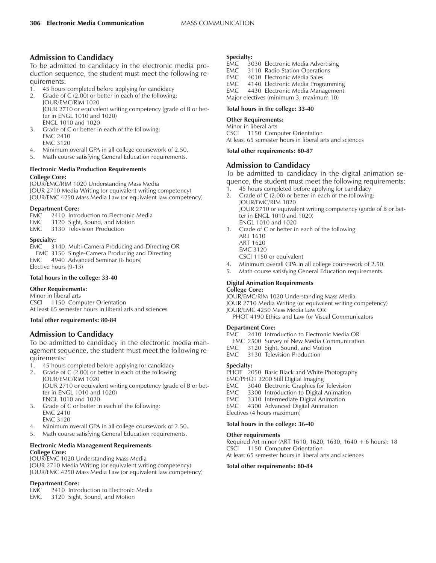# **Admission to Candidacy**

To be admitted to candidacy in the electronic media production sequence, the student must meet the following requirements:

- 1. 45 hours completed before applying for candidacy
- 2. Grade of C (2.00) or better in each of the following: JOUR/EMC/RIM 1020 JOUR 2710 or equivalent writing competency (grade of B or better in ENGL 1010 and 1020) ENGL 1010 and 1020
- 3. Grade of C or better in each of the following: EMC 2410 EMC 3120
- 4. Minimum overall GPA in all college coursework of 2.50.
- 5. Math course satisfying General Education requirements.

#### **Electronic Media Production Requirements College Core:**

JOUR/EMC/RIM 1020 Understanding Mass Media JOUR 2710 Media Writing (or equivalent writing competency) JOUR/EMC 4250 Mass Media Law (or equivalent law competency)

#### **Department Core:**

|  | EMC 2410 Introduction to Electronic Media |
|--|-------------------------------------------|
|  | EMC 3120 Sight, Sound, and Motion         |

EMC 3130 Television Production

#### **Specialty:**

EMC 3140 Multi-Camera Producing and Directing OR EMC 3150 Single-Camera Producing and Directing EMC 4940 Advanced Seminar (6 hours) Elective hours (9-13)

#### **Total hours in the college: 33-40**

#### **Other Requirements:**

Minor in liberal arts CSCI 1150 Computer Orientation At least 65 semester hours in liberal arts and sciences

#### **Total other requirements: 80-84**

# **Admission to Candidacy**

To be admitted to candidacy in the electronic media management sequence, the student must meet the following requirements:

- 1. 45 hours completed before applying for candidacy
- 2. Grade of C (2.00) or better in each of the following: JOUR/EMC/RIM 1020 JOUR 2710 or equivalent writing competency (grade of B or better in ENGL 1010 and 1020) ENGL 1010 and 1020
- 3. Grade of C or better in each of the following: EMC 2410 EMC 3120
- 4. Minimum overall GPA in all college coursework of 2.50.
- 5. Math course satisfying General Education requirements.

# **Electronic Media Management Requirements College Core:**

JOUR/EMC 1020 Understanding Mass Media JOUR 2710 Media Writing (or equivalent writing competency) JOUR/EMC 4250 Mass Media Law (or equivalent law competency)

#### **Department Core:**

- EMC 2410 Introduction to Electronic Media
- EMC 3120 Sight, Sound, and Motion

#### **Specialty:**

- EMC 3030 Electronic Media Advertising
- EMC 3110 Radio Station Operations<br>EMC 4010 Electronic Media Sales
- 4010 Electronic Media Sales
- EMC 4140 Electronic Media Programming<br>EMC 4430 Electronic Media Management
- 4430 Electronic Media Management
- Major electives (minimum 3, maximum 10)

#### **Total hours in the college: 33-40**

#### **Other Requirements:**

Minor in liberal arts CSCI 1150 Computer Orientation At least 65 semester hours in liberal arts and sciences

#### **Total other requirements: 80-87**

# **Admission to Candidacy**

To be admitted to candidacy in the digital animation sequence, the student must meet the following requirements:

- 1. 45 hours completed before applying for candidacy 2. Grade of C (2.00) or better in each of the following:
- JOUR/EMC/RIM 1020 JOUR 2710 or equivalent writing competency (grade of B or better in ENGL 1010 and 1020) ENGL 1010 and 1020
- 3. Grade of C or better in each of the following ART 1610 ART 1620 EMC 3120 CSCI 1150 or equivalent
- 4. Minimum overall GPA in all college coursework of 2.50.
- 5. Math course satisfying General Education requirements.

#### **Digital Animation Requirements College Core:**

JOUR/EMC/RIM 1020 Understanding Mass Media

JOUR 2710 Media Writing (or equivalent writing competency)

JOUR/EMC 4250 Mass Media Law OR

PHOT 4190 Ethics and Law for Visual Communicators

#### **Department Core:**

- EMC 2410 Introduction to Electronic Media OR
- EMC 2500 Survey of New Media Communication
- EMC 3120 Sight, Sound, and Motion
- EMC 3130 Television Production

#### **Specialty:**

PHOT 2050 Basic Black and White Photography

EMC/PHOT 3200 Still Digital Imaging

- EMC 3040 Electronic Graphics for Television<br>EMC 3300 Introduction to Digital Animation
- 3300 Introduction to Digital Animation
- EMC 3310 Intermediate Digital Animation
- EMC 4300 Advanced Digital Animation
- Electives (4 hours maximum)

### **Total hours in the college: 36-40**

#### **Other requirements**

Required Art minor (ART 1610, 1620, 1630, 1640 + 6 hours): 18 CSCI 1150 Computer Orientation

At least 65 semester hours in liberal arts and sciences

#### **Total other requirements: 80-84**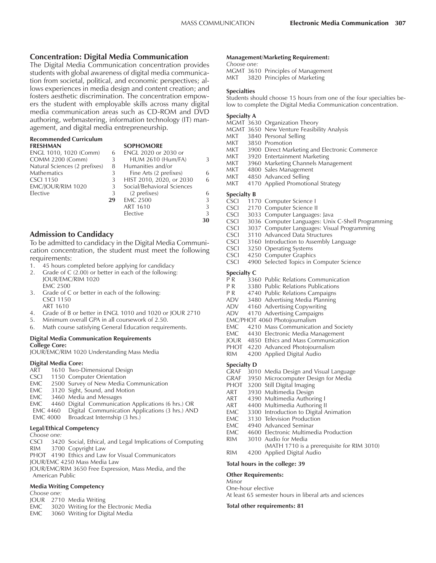### **Concentration: Digital Media Communication**

The Digital Media Communication concentration provides students with global awareness of digital media communication from societal, political, and economic perspectives; allows experiences in media design and content creation; and fosters aesthetic discrimination. The concentration empowers the student with employable skills across many digital media communication areas such as CD-ROM and DVD authoring, webmastering, information technology (IT) management, and digital media entrepreneurship.

#### **Recommended Curriculum**

| <b>FRESHMAN</b>               |    | <b>SOPHOMORE</b>           |   |
|-------------------------------|----|----------------------------|---|
| ENGL 1010, 1020 (Comm)        | 6  | ENGL 2020 or 2030 or       |   |
| <b>COMM 2200 (Comm)</b>       | 3  | <b>HUM 2610 (Hum/FA)</b>   | 3 |
| Natural Sciences (2 prefixes) | 8  | Humanities and/or          |   |
| <b>Mathematics</b>            | 3  | Fine Arts (2 prefixes)     | 6 |
| <b>CSCI 1150</b>              | 3  | HIST 2010, 2020, or 2030   | 6 |
| EMC/IOUR/RIM 1020             | 3  | Social/Behavioral Sciences |   |
| Elective                      | 3  | (2 prefixes)               | 6 |
|                               | 29 | <b>EMC 2500</b>            | 3 |
|                               |    | <b>ART 1610</b>            | 3 |
|                               |    | Elective                   | 3 |
|                               |    |                            |   |

#### **Admission to Candidacy**

To be admitted to candidacy in the Digital Media Communication concentration, the student must meet the following requirements:

- 1. 45 hours completed before applying for candidacy
- 2. Grade of C (2.00) or better in each of the following: JOUR/EMC/RIM 1020 EMC 2500
- 3. Grade of C or better in each of the following: CSCI 1150 ART 1610
- 4. Grade of B or better in ENGL 1010 and 1020 or JOUR 2710
- 5. Minimum overall GPA in all coursework of 2.50.
- 6. Math course satisfying General Education requirements.

#### **Digital Media Communication Requirements College Core:**

JOUR/EMC/RIM 1020 Understanding Mass Media

#### **Digital Media Core:**

- ART 1610 Two-Dimensional Design
- CSCI 1150 Computer Orientation
- EMC 2500 Survey of New Media Communication
- EMC 3120 Sight, Sound, and Motion
- EMC 3460 Media and Messages
- EMC 4460 Digital Communication Applications (6 hrs.) OR
- EMC 4460 Digital Communication Applications (3 hrs.) AND
- Broadcast Internship (3 hrs.)

#### **Legal/Ethical Competency**

*Choose one:* 3420 Social, Ethical, and Legal Implications of Computing RIM 3700 Copyright Law PHOT 4190 Ethics and Law for Visual Communicators JOUR/EMC 4250 Mass Media Law JOUR/EMC/RIM 3650 Free Expression, Mass Media, and the American Public

#### **Media Writing Competency**

- *Choose one:*
- JOUR 2710 Media Writing
- EMC 3020 Writing for the Electronic Media
- EMC 3060 Writing for Digital Media

#### **Management/Marketing Requirement:**

*Choose one:*

MGMT 3610 Principles of Management MKT 3820 Principles of Marketing

#### **Specialties**

Students should choose 15 hours from one of the four specialties below to complete the Digital Media Communication concentration.

#### **Specialty A**

|       | MGMT 3630 Organization Theory                 |
|-------|-----------------------------------------------|
|       | MGMT 3650 New Venture Feasibility Analysis    |
| MKT   | 3840 Personal Selling                         |
| MKT – | 3850 Promotion                                |
| MKT   | 3900 Direct Marketing and Electronic Commerce |
| MKT   | 3920 Entertainment Marketing                  |
| MKT   | 3960 Marketing Channels Management            |
| MKT   | 4800 Sales Management                         |
| MKT   | 4850 Advanced Selling                         |
| MKT   | 4170 Applied Promotional Strategy             |
|       |                                               |

#### **Specialty B**

**30**

- CSCI 1170 Computer Science I
- CSCI 2170 Computer Science II<br>CSCI 3033 Computer Languages
- 3033 Computer Languages: Java
- CSCI 3036 Computer Languages: Unix C-Shell Programming
- CSCI 3037 Computer Languages: Visual Programming
- 3110 Advanced Data Structures
- CSCI 3160 Introduction to Assembly Language
- CSCI 3250 Operating Systems<br>CSCI 4250 Computer Graphic
- 4250 Computer Graphics
- CSCI 4900 Selected Topics in Computer Science

- **Specialty C**<br>P R 336 3360 Public Relations Communication
- P R 3380 Public Relations Publications<br>P R 4740 Public Relations Campaigns
- P R 4740 Public Relations Campaigns<br>ADV 3480 Advertising Media Planning
- 3480 Advertising Media Planning
- ADV 4160 Advertising Copywriting
- ADV 4170 Advertising Campaigns
- EMC/PHOT 4060 Photojournalism
- EMC 4210 Mass Communication and Society
- EMC 4430 Electronic Media Management
- JOUR 4850 Ethics and Mass Communication
- PHOT 4220 Advanced Photojournalism
- RIM 4200 Applied Digital Audio

#### **Specialty D**

- GRAF 3010 Media Design and Visual Language
- GRAF 3950 Microcomputer Design for Media
- PHOT 3200 Still Digital Imaging
- ART 3930 Multimedia Design
- ART 4390 Multimedia Authoring I<br>ART 4400 Multimedia Authoring II
- 4400 Multimedia Authoring II
- EMC 3300 Introduction to Digital Animation
- EMC 3130 Television Production<br>EMC 4940 Advanced Seminar
- 4940 Advanced Seminar
- EMC 4600 Electronic Multimedia Production
- RIM 3010 Audio for Media
- (MATH 1710 is a prerequisite for RIM 3010)
- RIM 4200 Applied Digital Audio

#### **Total hours in the college: 39**

#### **Other Requirements:**

Minor One-hour elective At least 65 semester hours in liberal arts and sciences

#### **Total other requirements: 81**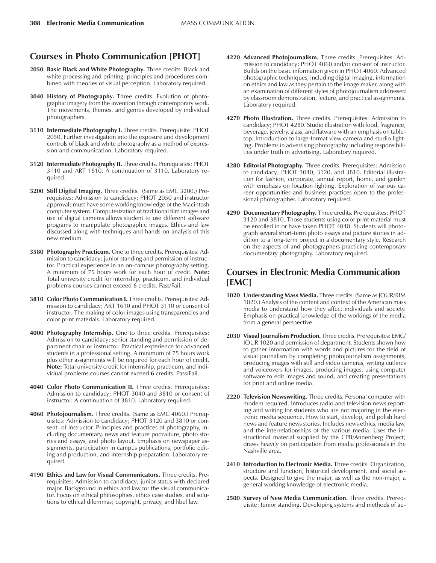# **Courses in Photo Communication [PHOT]**

- 2050 Basic Black and White Photography. Three credits. Black and white processing and printing; principles and procedures combined with theories of visual perception. Laboratory required.
- **3040 History of Photography.** Three credits. Evolution of photographic imagery from the invention through contemporary work. The movements, themes, and genres developed by individual photographers.
- **3110 Intermediate Photography I.** Three credits. Prerequisite: PHOT 2050. Further investigation into the exposure and development controls of black and white photography as a method of expression and communication. Laboratory required.
- **3120 Intermediate Photography II.** Three credits. Prerequisites: PHOT 3110 and ART 1610. A continuation of 3110. Laboratory required.
- **3200 Still Digital Imaging.** Three credits. (Same as EMC 3200.) Prerequisites: Admission to candidacy; PHOT 2050 and instructor approval; must have some working knowledge of the Macintosh computer system. Computerization of traditional film images and use of digital cameras allows student to use different software programs to manipulate photographic images. Ethics and law discussed along with techniques and hands-on analysis of this new medium.
- **3580 Photography Practicum.** One to three credits. Prerequisites: Admission to candidacy; junior standing and permission of instructor. Practical experience in an on-campus photography setting. A minimum of 75 hours work for each hour of credit. **Note:** Total university credit for internship, practicum, and individual problems courses cannot exceed 6 credits. Pass/Fail.
- **3810 Color Photo Communication I.** Three credits. Prerequisites: Admission to candidacy; ART 1610 and PHOT 3110 or consent of instructor. The making of color images using transparencies and color print materials. Laboratory required.
- **4000 Photography Internship.** One to three credits. Prerequisites: Admission to candidacy; senior standing and permission of department chair or instructor. Practical experience for advanced students in a professional setting. A minimum of 75 hours work plus other assignments will be required for each hour of credit. **Note:** Total university credit for internship, practicum, and individual problems courses cannot exceed **6** credits. Pass/Fail.
- **4040 Color Photo Communication II.** Three credits. Prerequisites: Admission to candidacy; PHOT 3040 and 3810 or consent of instructor. A continuation of 3810. Laboratory required.
- **4060 Photojournalism.** Three credits. (Same as EMC 4060.) Prerequisites: Admission to candidacy; PHOT 3120 and 3810 or consent of instructor. Principles and practices of photography, including documentary, news and feature portraiture, photo stories and essays, and photo layout. Emphasis on newspaper assignments, participation in campus publications, portfolio editing and production, and internship preparation. Laboratory required.
- **4190 Ethics and Law for Visual Communicators.** Three credits. Prerequisites: Admission to candidacy; junior status with declared major. Background in ethics and law for the visual communicator. Focus on ethical philosophies, ethics case studies, and solutions to ethical dilemmas; copyright, privacy, and libel law.
- **4220 Advanced Photojournalism.** Three credits. Prerequisites: Admission to candidacy; PHOT 4060 and/or consent of instructor. Builds on the basic information given in PHOT 4060. Advanced photographic techniques, including digital imaging, information on ethics and law as they pertain to the image maker, along with an examination of different styles of photojournalism addressed by classroom demonstration, lecture, and practical assignments. Laboratory required.
- **4270 Photo Illustration.** Three credits. Prerequisites: Admission to candidacy; PHOT 4280. Studio illustration with food, fragrance, beverage, jewelry, glass, and flatware with an emphasis on tabletop. Introduction to large-format view camera and studio lighting. Problems in advertising photography including responsibilities under truth in advertising. Laboratory required.
- **4280 Editorial Photography.** Three credits. Prerequisites: Admission to candidacy; PHOT 3040, 3120, and 3810. Editorial illustration for fashion, corporate, annual report, home, and garden with emphasis on location lighting. Exploration of various career opportunities and business practices open to the professional photographer. Laboratory required.
- **4290 Documentary Photography.** Three credits. Prerequisites: PHOT 3120 and 3810. Those students using color print material must be enrolled in or have taken PHOT 4040. Students will photograph several short-term photo essays and picture stories in addition to a long-term project in a documentary style. Research on the aspects of and photographers practicing contemporary documentary photography. Laboratory required.

# **Courses in Electronic Media Communication [EMC]**

- **1020 Understanding Mass Media.** Three credits. (Same as JOUR/RIM 1020.) Analysis of the content and context of the American mass media to understand how they affect individuals and society. Emphasis on practical knowledge of the workings of the media from a general perspective.
- **2030 Visual Journalism Production.** Three credits. Prerequisites: EMC/ JOUR 1020 and permission of department. Students shown how to gather information with words and pictures for the field of visual journalism by completing photojournalism assignments, producing images with still and video cameras, writing cutlines and voiceovers for images, producing images, using computer software to edit images and sound, and creating presentations for print and online media.
- **2220 Television Newswriting.** Three credits. Personal computer with modem required. Introduces radio and television news reporting and writing for students who are not majoring in the electronic media sequence. How to start, develop, and polish hard news and feature news stories. Includes news ethics, media law, and the interrelationships of the various media. Uses the instructional material supplied by the CPB/Annenberg Project; draws heavily on participation from media professionals in the Nashville area.
- **2410 Introduction to Electronic Media.** Three credits. Organization, structure and function, historical development, and social aspects. Designed to give the major, as well as the non-major, a general working knowledge of electronic media.
- **2500 Survey of New Media Communication.** Three credits. Prerequisite: Junior standing. Developing systems and methods of au-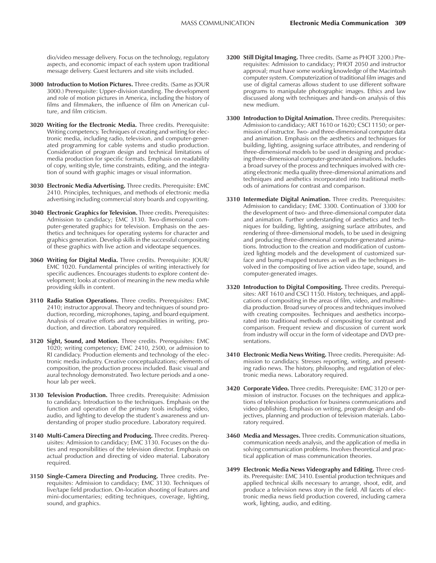dio/video message delivery. Focus on the technology, regulatory aspects, and economic impact of each system upon traditional message delivery. Guest lecturers and site visits included.

- **3000 Introduction to Motion Pictures.** Three credits. (Same as JOUR 3000.) Prerequisite: Upper-division standing. The development and role of motion pictures in America, including the history of films and filmmakers, the influence of film on American culture, and film criticism.
- **3020 Writing for the Electronic Media.** Three credits. Prerequisite: Writing competency. Techniques of creating and writing for electronic media, including radio, television, and computer-generated programming for cable systems and studio production. Consideration of program design and technical limitations of media production for specific formats. Emphasis on readability of copy, writing style, time constraints, editing, and the integration of sound with graphic images or visual information.
- **3030 Electronic Media Advertising.** Three credits. Prerequisite: EMC 2410. Principles, techniques, and methods of electronic media advertising including commercial story boards and copywriting.
- **3040 Electronic Graphics for Television.** Three credits. Prerequisites: Admission to candidacy; EMC 3130. Two-dimensional computer-generated graphics for television. Emphasis on the aesthetics and techniques for operating systems for character and graphics generation. Develop skills in the successful compositing of these graphics with live action and videotape sequences.
- **3060 Writing for Digital Media.** Three credits. Prerequisite: JOUR/ EMC 1020. Fundamental principles of writing interactively for specific audiences. Encourages students to explore content development; looks at creation of meaning in the new media while providing skills in content.
- **3110 Radio Station Operations.** Three credits. Prerequisites: EMC 2410; instructor approval. Theory and techniques of sound production, recording, microphones, taping, and board equipment. Analysis of creative efforts and responsibilities in writing, production, and direction. Laboratory required.
- **3120 Sight, Sound, and Motion.** Three credits. Prerequisites: EMC 1020; writing competency; EMC 2410, 2500, or admission to RI candidacy. Production elements and technology of the electronic media industry. Creative conceptualizations; elements of composition, the production process included. Basic visual and aural technology demonstrated. Two lecture periods and a onehour lab per week.
- **3130 Television Production.** Three credits. Prerequisite: Admission to candidacy. Introduction to the techniques. Emphasis on the function and operation of the primary tools including video, audio, and lighting to develop the student's awareness and understanding of proper studio procedure. Laboratory required.
- **3140 Multi-Camera Directing and Producing.** Three credits. Prerequisites: Admission to candidacy; EMC 3130. Focuses on the duties and responsibilities of the television director. Emphasis on actual production and directing of video material. Laboratory required.
- **3150 Single-Camera Directing and Producing.** Three credits. Prerequisites: Admission to candidacy; EMC 3130. Techniques of live/tape field production. On-location shooting of features and mini-documentaries; editing techniques, coverage, lighting, sound, and graphics.
- **3200 Still Digital Imaging.** Three credits. (Same as PHOT 3200.) Prerequisites: Admission to candidacy; PHOT 2050 and instructor approval; must have some working knowledge of the Macintosh computer system. Computerization of traditional film images and use of digital cameras allows student to use different software programs to manipulate photographic images. Ethics and law discussed along with techniques and hands-on analysis of this new medium.
- **3300 Introduction to Digital Animation.** Three credits. Prerequisites: Admission to candidacy; ART 1610 or 1620; CSCI 1150; or permission of instructor. Two- and three-dimensional computer data and animation. Emphasis on the aesthetics and techniques for building, lighting, assigning surface attributes, and rendering of three-dimensional models to be used in designing and producing three-dimensional computer-generated animations. Includes a broad survey of the process and techniques involved with creating electronic media quality three-dimensional animations and techniques and aesthetics incorporated into traditional methods of animations for contrast and comparison.
- **3310 Intermediate Digital Animation.** Three credits. Prerequisites: Admission to candidacy; EMC 3300. Continuation of 3300 for the development of two- and three-dimensional computer data and animation. Further understanding of aesthetics and techniques for building, lighting, assigning surface attributes, and rendering of three-dimensional models, to be used in designing and producing three-dimensional computer-generated animations. Introduction to the creation and modification of customized lighting models and the development of customized surface and bump-mapped textures as well as the techniques involved in the compositing of live action video tape, sound, and computer-generated images.
- **3320 Introduction to Digital Compositing.** Three credits. Prerequisites: ART 1610 and CSCI 1150. History, techniques, and applications of compositing in the areas of film, video, and multimedia production. Broad survey of process and techniques involved with creating composites. Techniques and aesthetics incorporated into traditional methods of compositing for contrast and comparison. Frequent review and discussion of current work from industry will occur in the form of videotape and DVD presentations.
- **3410 Electronic Media News Writing.** Three credits. Prerequisite: Admission to candidacy. Stresses reporting, writing, and presenting radio news. The history, philosophy, and regulation of electronic media news. Laboratory required.
- **3420 Corporate Video.** Three credits. Prerequisite: EMC 3120 or permission of instructor. Focuses on the techniques and applications of television production for business communications and video publishing. Emphasis on writing, program design and objectives, planning and production of television materials. Laboratory required.
- **3460 Media and Messages.** Three credits. Communication situations, communication needs analysis, and the application of media in solving communication problems. Involves theoretical and practical application of mass communication theories.
- **3499 Electronic Media News Videography and Editing.** Three credits. Prerequisite: EMC 3410. Essential production techniques and applied technical skills necessary to arrange, shoot, edit, and produce a television news story in the field. All facets of electronic media news field production covered, including camera work, lighting, audio, and editing.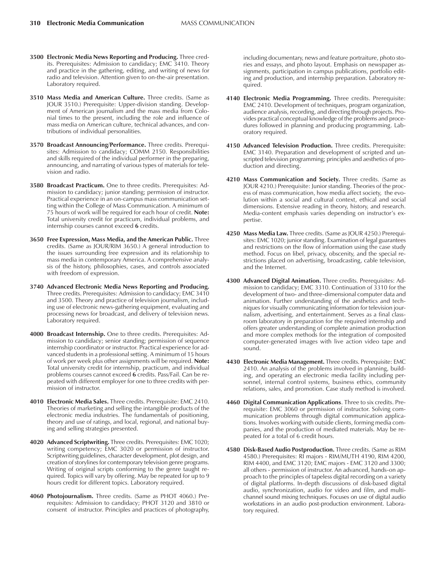- **3500 Electronic Media News Reporting and Producing.** Three credits. Prerequisites: Admission to candidacy; EMC 3410. Theory and practice in the gathering, editing, and writing of news for radio and television. Attention given to on-the-air presentation. Laboratory required.
- **3510 Mass Media and American Culture.** Three credits. (Same as JOUR 3510.) Prerequisite: Upper-division standing. Development of American journalism and the mass media from Colonial times to the present, including the role and influence of mass media on American culture, technical advances, and contributions of individual personalities.
- **3570 Broadcast Announcing/Performance.** Three credits. Prerequisites: Admission to candidacy; COMM 2150. Responsibilities and skills required of the individual performer in the preparing, announcing, and narrating of various types of materials for television and radio.
- **3580 Broadcast Practicum.** One to three credits. Prerequisites: Admission to candidacy; junior standing; permission of instructor. Practical experience in an on-campus mass communication setting within the College of Mass Communication. A minimum of 75 hours of work will be required for each hour of credit. **Note:** Total university credit for practicum, individual problems, and internship courses cannot exceed **6** credits.
- **3650 Free Expression, Mass Media, and the American Public.** Three credits. (Same as JOUR/RIM 3650.) A general introduction to the issues surrounding free expression and its relationship to mass media in contemporary America. A comprehensive analysis of the history, philosophies, cases, and controls associated with freedom of expression.
- **3740 Advanced Electronic Media News Reporting and Producing.** Three credits. Prerequisites: Admission to candidacy; EMC 3410 and 3500. Theory and practice of television journalism, including use of electronic news-gathering equipment, evaluating and processing news for broadcast, and delivery of television news. Laboratory required.
- **4000 Broadcast Internship.** One to three credits. Prerequisites: Admission to candidacy; senior standing; permission of sequence internship coordinator or instructor. Practical experience for advanced students in a professional setting. A minimum of 15 hours of work per week plus other assignments will be required. **Note:** Total university credit for internship, practicum, and individual problems courses cannot exceed **6** credits. Pass/Fail. Can be repeated with different employer for one to three credits with permission of instructor.
- **4010 Electronic Media Sales.** Three credits. Prerequisite: EMC 2410. Theories of marketing and selling the intangible products of the electronic media industries. The fundamentals of positioning, theory and use of ratings, and local, regional, and national buying and selling strategies presented.
- **4020 Advanced Scriptwriting.** Three credits. Prerequisites: EMC 1020; writing competency; EMC 3020 or permission of instructor. Scriptwriting guidelines, character development, plot design, and creation of storylines for contemporary television genre programs. Writing of original scripts conforming to the genre taught required. Topics will vary by offering. May be repeated for up to 9 hours credit for different topics. Laboratory required.
- **4060 Photojournalism.** Three credits. (Same as PHOT 4060.) Prerequisites: Admission to candidacy; PHOT 3120 and 3810 or consent of instructor. Principles and practices of photography,

including documentary, news and feature portraiture, photo stories and essays, and photo layout. Emphasis on newspaper assignments, participation in campus publications, portfolio editing and production, and internship preparation. Laboratory required.

- **4140 Electronic Media Programming.** Three credits. Prerequisite: EMC 2410. Development of techniques, program organization, audience analysis, recording, and directing through projects. Provides practical conceptual knowledge of the problems and procedures followed in planning and producing programming. Laboratory required.
- **4150 Advanced Television Production.** Three credits. Prerequisite: EMC 3140. Preparation and development of scripted and unscripted television programming; principles and aesthetics of production and directing.
- **4210 Mass Communication and Society.** Three credits. (Same as JOUR 4210.) Prerequisite: Junior standing. Theories of the process of mass communication, how media affect society, the evolution within a social and cultural context, ethical and social dimensions. Extensive reading in theory, history, and research. Media-content emphasis varies depending on instructor's expertise.
- **4250 Mass Media Law.** Three credits. (Same as JOUR 4250.) Prerequisites: EMC 1020; junior standing. Examination of legal guarantees and restrictions on the flow of information using the case study method. Focus on libel, privacy, obscenity, and the special restrictions placed on advertising, broadcasting, cable television, and the Internet.
- **4300 Advanced Digital Animation.** Three credits. Prerequisites: Admission to candidacy; EMC 3310. Continuation of 3310 for the development of two- and three-dimensional computer data and animation. Further understanding of the aesthetics and techniques for visually communicating information for television journalism, advertising, and entertainment. Serves as a final classroom laboratory in preparation for the required internship and offers greater understanding of complete animation production and more complex methods for the integration of composited computer-generated images with live action video tape and sound.
- **4430 Electronic Media Management.** Three credits. Prerequisite: EMC 2410. An analysis of the problems involved in planning, building, and operating an electronic media facility including personnel, internal control systems, business ethics, community relations, sales, and promotion. Case study method is involved.
- **4460 Digital Communication Applications**. Three to six credits. Prerequisite: EMC 3060 or permission of instructor. Solving communication problems through digital communication applications. Involves working with outside clients, forming media companies, and the production of mediated materials. May be repeated for a total of 6 credit hours.
- **4580 Disk-Based Audio Postproduction.** Three credits. (Same as RIM 4580.) Prerequisites: RI majors - RIM/MUTH 4190, RIM 4200, RIM 4400, and EMC 3120; EMC majors - EMC 3120 and 3300; all others - permission of instructor. An advanced, hands-on approach to the principles of tapeless digital recording on a variety of digital platforms. In-depth discussions of disk-based digital audio, synchronization, audio for video and film, and multichannel sound mixing techniques. Focuses on use of digital audio workstations in an audio post-production environment. Laboratory required.